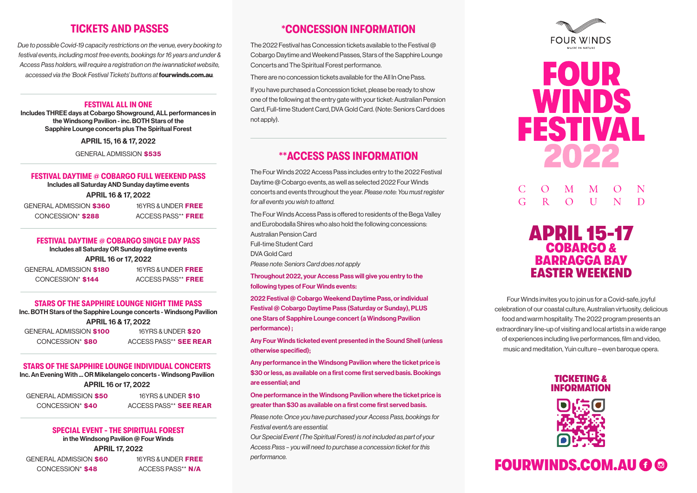# TICKETS AND PASSES

*Due to possible Covid-19 capacity restrictions on the venue, every booking to festival events, including most free events, bookings for 16 years and under & Access Pass holders, will require a registration on the iwannaticket website, accessed via the 'Book Festival Tickets' buttons at*fourwinds.com.au*.*

#### FESTIVAL ALL IN ONE

Includes THREE days at Cobargo Showground, ALL performances in the Windsong Pavilion - inc. BOTH Stars of the Sapphire Lounge concerts plus The Spiritual Forest

APRIL 15, 16 & 17, 2022

GENERAL ADMISSION \$535

#### FESTIVAL DAYTIME **@** COBARGO FULL WEEKEND PASS

Includes all Saturday AND Sunday daytime events APRIL 16 & 17, 2022

GENERAL ADMISSION \$360 CONCESSION\* \$288

16YRS & UNDER FREE ACCESS PASS\*\* FREE

#### FESTIVAL DAYTIME **@** COBARGO SINGLE DAY PASS Includes all Saturday OR Sunday daytime events

APRIL 16 or 17, 2022

GENERAL ADMISSION \$180 CONCESSION\* \$144

16YRS & UNDER FREE ACCESS PASS\*\* FREE

#### STARS OF THE SAPPHIRE LOUNGE NIGHT TIME PASS

Inc. BOTH Stars of the Sapphire Lounge concerts - Windsong Pavilion APRIL 16 & 17, 2022

| <b>GENERAL ADMISSION \$100</b> |  |
|--------------------------------|--|
| CONCESSION* \$80               |  |

16YRS & UNDER \$20 ACCESS PASS\*\* SEE REAR

STARS OF THE SAPPHIRE LOUNGE INDIVIDUAL CONCERTS Inc. An Evening With ... OR Mikelangelo concerts - Windsong Pavilion APRIL 16 or 17, 2022

GENERAL ADMISSION \$50 CONCESSION\* \$40

16YRS & UNDER \$10 ACCESS PASS\*\* SEE REAR

# SPECIAL EVENT - THE SPIRITUAL FOREST

in the Windsong Pavilion @ Four Winds APRIL 17, 2022

GENERAL ADMISSION \$60 CONCESSION\* \$48

16YRS & UNDER FREE ACCESS PASS\*\* N/A

# **\***CONCESSION INFORMATION

The 2022 Festival has Concession tickets available to the Festival @ Cobargo Daytime and Weekend Passes, Stars of the Sapphire Lounge Concerts and The Spiritual Forest performance.

There are no concession tickets available for the All In One Pass.

If you have purchased a Concession ticket, please be ready to show one of the following at the entry gate with your ticket: Australian Pension Card, Full-time Student Card, DVA Gold Card. (Note: Seniors Card does not apply).

# **\*\***ACCESS PASS INFORMATION

The Four Winds 2022 Access Pass includes entry to the 2022 Festival Daytime @ Cobargo events, as well as selected 2022 Four Winds concerts and events throughout the year. *Please note: You must register for all events you wish to attend.*

The Four Winds Access Pass is offered to residents of the Bega Valley and Eurobodalla Shires who also hold the following concessions: Australian Pension Card Full-time Student Card DVA Gold Card *Please note: Seniors Card does not apply*

Throughout 2022, your Access Pass will give you entry to the following types of Four Winds events:

2022 Festival @ Cobargo Weekend Daytime Pass, or individual Festival @ Cobargo Daytime Pass (Saturday or Sunday), PLUS one Stars of Sapphire Lounge concert (a Windsong Pavilion performance) ;

Any Four Winds ticketed event presented in the Sound Shell (unless otherwise specified);

Any performance in the Windsong Pavilion where the ticket price is \$30 or less, as available on a first come first served basis. Bookings are essential; and

One performance in the Windsong Pavilion where the ticket price is greater than \$30 as available on a first come first served basis.

*Please note: Once you have purchased your Access Pass, bookings for Festival event/s are essential.*

*Our Special Event (The Spiritual Forest) is not included as part of your Access Pass – you will need to purchase a concession ticket for this performance.*





#### M  $\overline{G}$  $R$  $\Omega$  $II$ D



Four Winds invites you to join us for a Covid-safe, joyful celebration of our coastal culture, Australian virtuosity, delicious food and warm hospitality. The 2022 program presents an extraordinary line-up of visiting and local artists in a wide range of experiences including live performances, film and video, music and meditation, Yuin culture – even baroque opera.





# FOURWINDS.COM.AU